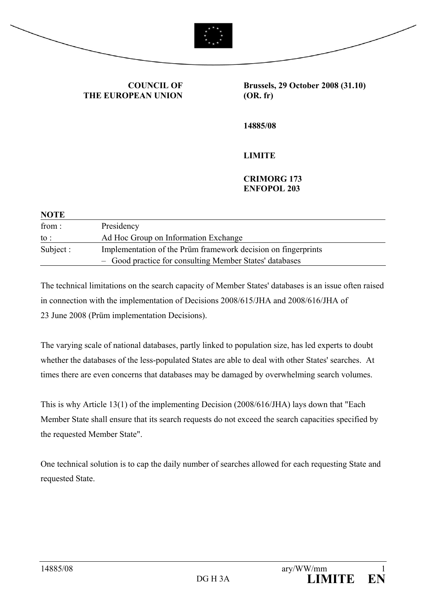



## **COUNCIL OF THE EUROPEAN UNION**

**Brussels, 29 October 2008 (31.10) (OR. fr)** 

**14885/08** 

## **LIMITE**

**CRIMORG 173 ENFOPOL 203** 

| <b>NOTE</b> |                                                               |  |
|-------------|---------------------------------------------------------------|--|
| from:       | Presidency                                                    |  |
| to :        | Ad Hoc Group on Information Exchange                          |  |
| Subject :   | Implementation of the Prüm framework decision on fingerprints |  |
|             | - Good practice for consulting Member States' databases       |  |

The technical limitations on the search capacity of Member States' databases is an issue often raised in connection with the implementation of Decisions 2008/615/JHA and 2008/616/JHA of 23 June 2008 (Prüm implementation Decisions).

The varying scale of national databases, partly linked to population size, has led experts to doubt whether the databases of the less-populated States are able to deal with other States' searches. At times there are even concerns that databases may be damaged by overwhelming search volumes.

This is why Article 13(1) of the implementing Decision (2008/616/JHA) lays down that "Each Member State shall ensure that its search requests do not exceed the search capacities specified by the requested Member State".

One technical solution is to cap the daily number of searches allowed for each requesting State and requested State.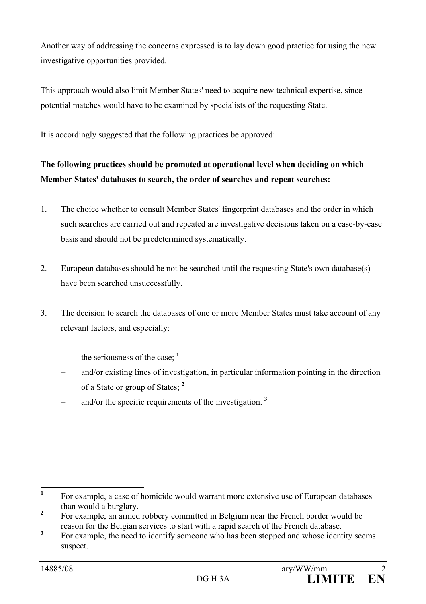Another way of addressing the concerns expressed is to lay down good practice for using the new investigative opportunities provided.

This approach would also limit Member States' need to acquire new technical expertise, since potential matches would have to be examined by specialists of the requesting State.

It is accordingly suggested that the following practices be approved:

## **The following practices should be promoted at operational level when deciding on which Member States' databases to search, the order of searches and repeat searches:**

- 1. The choice whether to consult Member States' fingerprint databases and the order in which such searches are carried out and repeated are investigative decisions taken on a case-by-case basis and should not be predetermined systematically.
- 2. European databases should be not be searched until the requesting State's own database(s) have been searched unsuccessfully.
- 3. The decision to search the databases of one or more Member States must take account of any relevant factors, and especially:
	- the seriousness of the case; **<sup>1</sup>**
	- and/or existing lines of investigation, in particular information pointing in the direction of a State or group of States; **<sup>2</sup>**
	- and/or the specific requirements of the investigation. **<sup>3</sup>**

 **1** For example, a case of homicide would warrant more extensive use of European databases than would a burglary.

**<sup>2</sup>** For example, an armed robbery committed in Belgium near the French border would be reason for the Belgian services to start with a rapid search of the French database.

**<sup>3</sup>** For example, the need to identify someone who has been stopped and whose identity seems suspect.